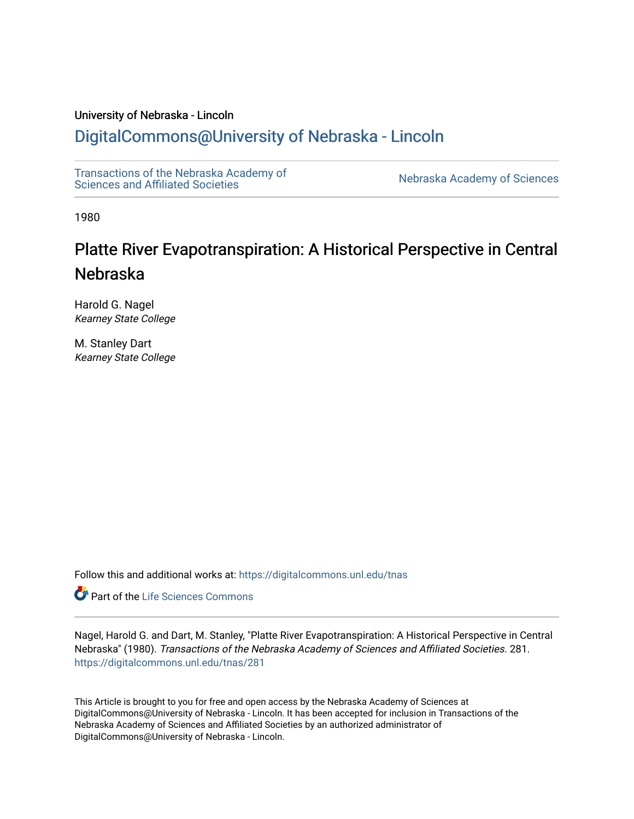# University of Nebraska - Lincoln

# [DigitalCommons@University of Nebraska - Lincoln](https://digitalcommons.unl.edu/)

[Transactions of the Nebraska Academy of](https://digitalcommons.unl.edu/tnas)  Transactions of the Nebraska Academy of Sciences<br>Sciences and Affiliated Societies

1980

# Platte River Evapotranspiration: A Historical Perspective in Central Nebraska

Harold G. Nagel Kearney State College

M. Stanley Dart Kearney State College

Follow this and additional works at: [https://digitalcommons.unl.edu/tnas](https://digitalcommons.unl.edu/tnas?utm_source=digitalcommons.unl.edu%2Ftnas%2F281&utm_medium=PDF&utm_campaign=PDFCoverPages) 

Part of the [Life Sciences Commons](http://network.bepress.com/hgg/discipline/1016?utm_source=digitalcommons.unl.edu%2Ftnas%2F281&utm_medium=PDF&utm_campaign=PDFCoverPages) 

Nagel, Harold G. and Dart, M. Stanley, "Platte River Evapotranspiration: A Historical Perspective in Central Nebraska" (1980). Transactions of the Nebraska Academy of Sciences and Affiliated Societies. 281. [https://digitalcommons.unl.edu/tnas/281](https://digitalcommons.unl.edu/tnas/281?utm_source=digitalcommons.unl.edu%2Ftnas%2F281&utm_medium=PDF&utm_campaign=PDFCoverPages) 

This Article is brought to you for free and open access by the Nebraska Academy of Sciences at DigitalCommons@University of Nebraska - Lincoln. It has been accepted for inclusion in Transactions of the Nebraska Academy of Sciences and Affiliated Societies by an authorized administrator of DigitalCommons@University of Nebraska - Lincoln.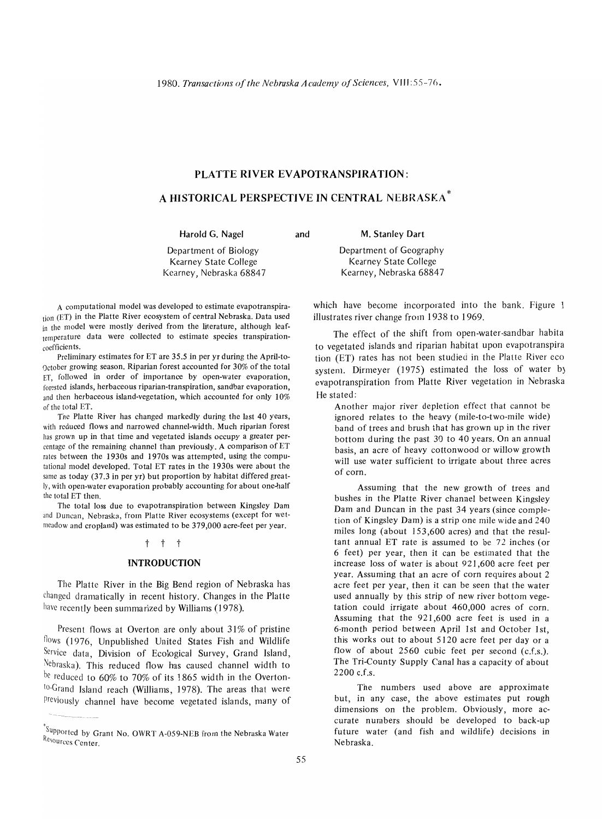# **PLATTE RIVER** EVAPOTRANSPIRATION:

# A **HISTORICAL** PERSPECTIVE **IN** CENTRAL NEBRASKA \*

Harold G. Nagel

and

M. Stanley Dart

Department of Biology Kearney State College Kearney, Nebraska 68847 Department of Geography Kearney State College Kearney, Nebraska 68847

A computational model was developed to estimate evapotranspiration (ET) in the Platte River ecosystem of central Nebraska. Data used in the model were mostly derived from the literature, although leaftemperature data were collected to estimate species transpirationcoefficients.

Preliminary estimates for ET are 35.5 in per yr during the April-tooctober growing season. Riparian forest accounted for 30% of the total ET, followed in order of importance by open-water evaporation, forested islands, herbaceous riparian-transpiration, sandbar evaporation, and then herbaceous island-vegetation, which accounted for only 10% of the total ET.

The Platte River has changed markedly during the last 40 years, with reduced flows and narrowed channel-width. Much riparian forest has grown up in that time and vegetated islands occupy a greater percentage of the remaining channel than previously. A comparison of ET rates between the 1930s and 1970s was attempted, using the computational model developed. Total ET rates in the 1930s were about the same as today (37.3 in per yr) but proportion by habitat differed greatly, with open-water evaporation probably accounting for about one-half the total ET then.

The total loss due to evapotranspiration between Kingsley Dam and Duncan, Nebraska, from Platte River ecosystems (except for wetmeadow and cropland) was estimated to be 379,000 acre-feet per year.

# t t t

#### INTRODUCTION

The Platte River in the Big Bend region of Nebraska has changed dramatically in recent history. Changes in the Platte have recently been summarized by Williams (1978).

Present flows at Overton are only about  $31\%$  of pristine flows (1976, Unpublished United States Fish and Wildlife Service data, Division of Ecological Survey, Grand Island, Nebraska). This reduced flow has caused channel width to be reduced to 60% to 70% of its 1865 width in the Overtonto-Grand Island reach (Williams, 1978). The areas that were previously channel have become vegetated islands, many of which have become incorporated into the bank. Figure I illustrates river change from 1938 to 1969.

The effect of the shift from open-water-sandbar habita to vegetated islands and riparian habitat upon evapotranspira tion (ET) rates has not been studied in the Platte River eco system. Dirmeyer (1975) estimated the loss of water b) evapotranspiration from Platte River vegetation in Nebraska He stated:

Another major river depletion effect that cannot be ignored relates to the heavy (mile-to-two-mile wide) band of trees and brush that has grown up in the river bottom during the past 30 to 40 years. On an annual basis, an acre of heavy cottonwood or willow growth will use water sufficient to irrigate about three acres of corn.

Assuming that the new growth of trees and bushes in the Platte River channel between Kingsley Dam and Duncan in the past 34 years (since completion of Kingsley Dam) is a strip one mile wide and 240 miles long (about 153,600 acres) and that the resultant annual ET rate is assumed to be 72 inches (or 6 feet) per year, then it can be estimated that the increase loss of water is about 921,600 acre feet per year. Assuming that an acre of corn requires about 2 acre feet per year, then it can be seen that the water used annually by this strip of new river bottom vegetation could irrigate about 460,000 acres of corn. Assuming that the 921,600 acre feet is used in a 6-month period between April 1st and October 1st, this works out to about 5120 acre feet per day or a flow of about  $2560$  cubic feet per second  $(c.f.s.).$ The Tri-County Supply Canal has a capacity of about 2200 c.f.s.

The numbers used above are approximate but, in any case, the above estimates put rough dimensions on the problem. Obviously, more accurate numbers should be developed to back-up future water (and fish and wildlife) decisions in Nebraska.

 $\int_{0}^{5}$ Supported by Grant No. OWRT A-059-NEB from the Nebraska Water Resources Center.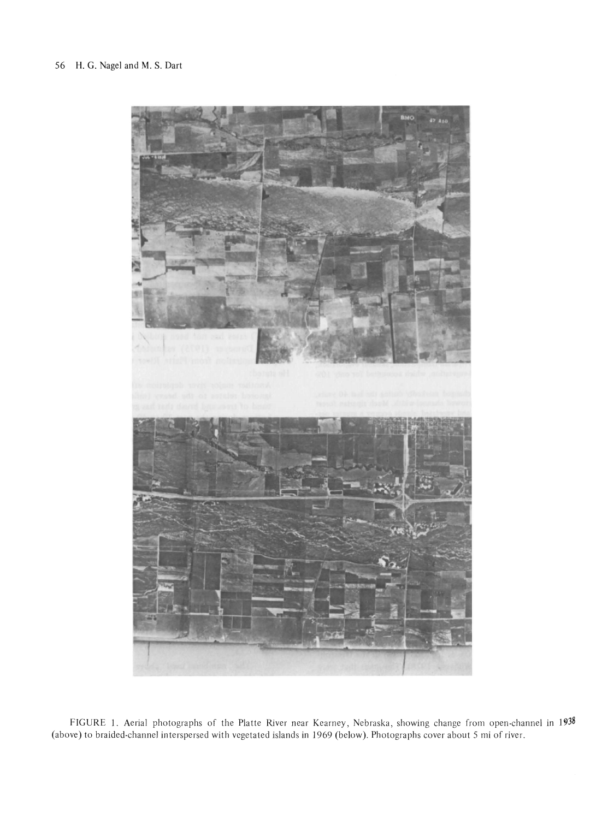

FIGURE l. Aerial photographs of the Platte River near Kearney, Nebraska, showing change from open-channel in 1938 (above) to braided-channel interspersed with vegetated islands in 1969 (below). Photographs cover about 5 mi of river.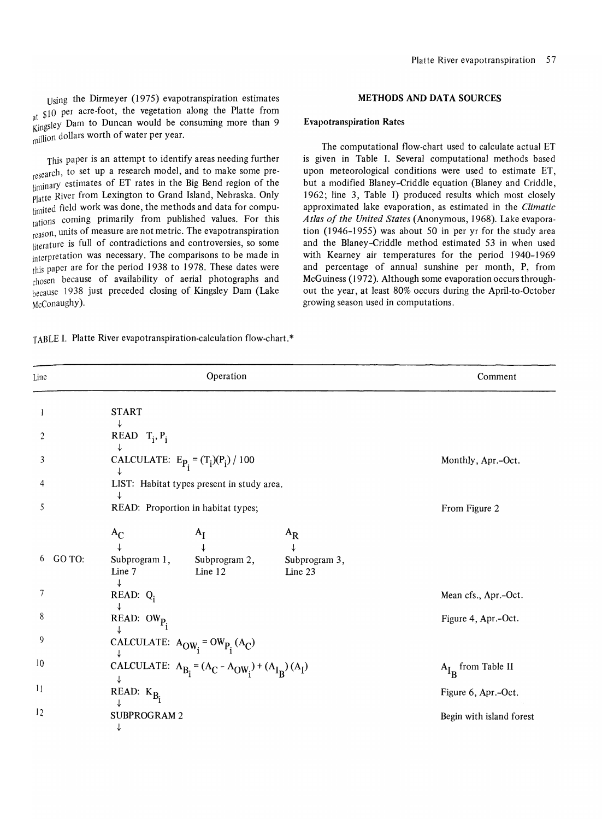Using the Dirmeyer (1975) evapotranspiration estimates at \$10 per acre-foot, the vegetation along the Platte from  $\frac{a_1}{\text{Kings}}$  Dam to Duncan would be consuming more than 9 million dollars worth of water per year.

This paper is an attempt to identify areas needing further research, to set up a research model, and to make some preliminary estimates of ET rates in the Big Bend region of the Platte River from Lexington to Grand Island, Nebraska. Only limited field work was done, the methods and data for computations coming primarily from published values. For this reason, units of measure are not metric. The evapotranspiration literature is full of contradictions and controversies, so some interpretation was necessary. The comparisons to be made in this paper are for the period 1938 to 1978. These dates were chosen because of availability of aerial photographs and because 1938 just preceded closing of Kingsley Dam (Lake McConaughy).

TABLE I. Platte River evapotranspiration-calculation flow-chart.\*

#### METHODS AND DATA SOURCES

### Evapotranspiration Rates

The computational flow-chart used to calculate actual ET is given in Table 1. Several computational methods based upon meteorological conditions were used to estimate ET, but a modified Blaney-Criddle equation (Blaney and Criddle, 1962; line 3, Table I) produced results which most closely approximated lake evaporation, as estimated in the *Climatic Atlas of the United States* (Anonymous, 1968). Lake evaporation (1946-1955) was about 50 in per yr for the study area and the Blaney-Criddle method estimated 53 in when used with Kearney air temperatures for the period 1940-1969 and percentage of annual sunshine per month, P, from McGuiness (1972). Although some evaporation occurs throughout the year, at least 80% occurs during the April-to-October growing season used in computations,

| Line        |                                         | Operation                                                |                          | Comment                  |
|-------------|-----------------------------------------|----------------------------------------------------------|--------------------------|--------------------------|
| 1           | <b>START</b>                            |                                                          |                          |                          |
| 2           | ↓<br>READ $T_i$ , $P_i$                 |                                                          |                          |                          |
| 3           | CALCULATE: $E_{P_i} = (T_i)(P_i) / 100$ |                                                          |                          | Monthly, Apr.-Oct.       |
| 4           |                                         | LIST: Habitat types present in study area.               |                          |                          |
| 5           |                                         | READ: Proportion in habitat types;                       |                          | From Figure 2            |
|             | $A_C$                                   | $A_I$                                                    | $A_{\rm R}$              |                          |
| GO TO:<br>6 | Line 7                                  | Subprogram 1, Subprogram 2,<br>Line 12                   | Subprogram 3,<br>Line 23 |                          |
| 7           | ↓<br>READ: $Q_i$                        |                                                          |                          | Mean cfs., Apr.-Oct.     |
| 8           | ↓<br>READ: $OW_{P_i}$                   |                                                          |                          | Figure 4, Apr.-Oct.      |
| 9           |                                         | CALCULATE: $A_{OW_i} = OW_{P_i}(A_C)$                    |                          |                          |
| 10          |                                         | CALCULATE: $A_{B_i} = (A_C - A_{OW_i}) + (A_{I_R})(A_I)$ |                          | $A_{I_R}$ from Table II  |
| 11          | ↓<br>READ: $K_{B_i}$                    |                                                          |                          | Figure 6, Apr.-Oct.      |
| 12          | <b>SUBPROGRAM2</b><br>↓                 |                                                          |                          | Begin with island forest |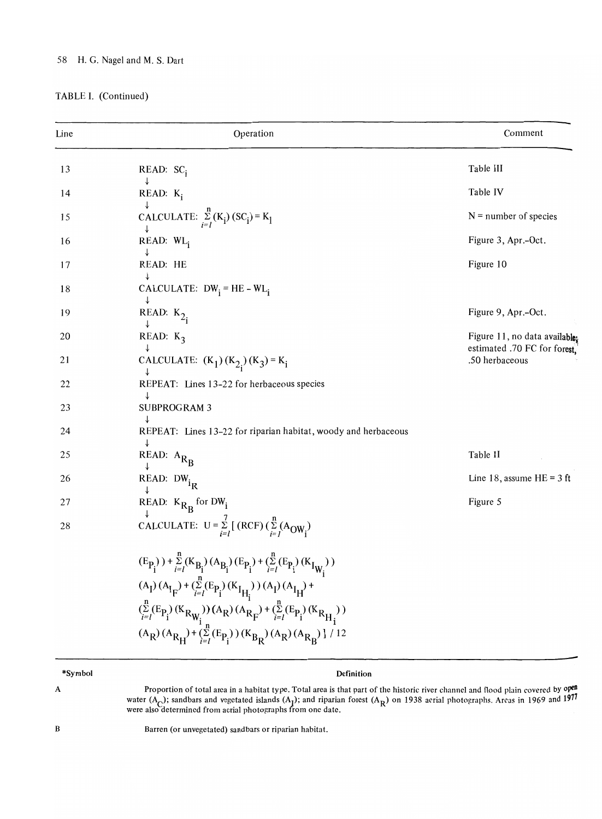# 58 H. G. Nagel and M. S. Dart

# TABLE I. (Continued)

| Line | Operation                                                                                                        | Comment                                        |
|------|------------------------------------------------------------------------------------------------------------------|------------------------------------------------|
| 13   | READ: SC <sub>i</sub>                                                                                            | Table III                                      |
| 14   | $READ: K_i$                                                                                                      | Table IV                                       |
| 15   | CALCULATE: $\sum_{i=1}^{n} (K_i) (SC_i) = K_1$                                                                   | $N =$ number of species                        |
| 16   | $READ: WL_i$                                                                                                     | Figure 3, Apr.-Oct.                            |
| 17   | READ: HE                                                                                                         | Figure 10                                      |
| 18   | CALCULATE: $DW_i = HE - WL_i$                                                                                    |                                                |
| 19   | READ: $K_{2}$                                                                                                    | Figure 9, Apr.-Oct.                            |
| 20   | READ: $K_2$                                                                                                      | Figure 11, no data available;                  |
| 21   | CALCULATE: $(K_1) (K_{2_1}) (K_3) = K_1$                                                                         | estimated .70 FC for forest.<br>.50 herbaceous |
| 22   | REPEAT: Lines 13-22 for herbaceous species                                                                       |                                                |
| 23   | ↓<br><b>SUBPROGRAM 3</b>                                                                                         |                                                |
| 24   | REPEAT: Lines 13-22 for riparian habitat, woody and herbaceous                                                   |                                                |
| 25   | ↓<br>READ: $A_{R_B}$                                                                                             | Table II                                       |
| 26   | READ: $DW_{i_R}$                                                                                                 | Line 18, assume $HE = 3$ ft                    |
| 27   | READ: $K_{R_R}$ for DW <sub>i</sub>                                                                              | Figure 5                                       |
| 28   | CALCULATE: $U = \sum_{i=1}^{7} [(RCF)(\sum_{i=1}^{n} (A_{OW_i})$                                                 |                                                |
|      | $(E_{P_i}) + \sum_{i=1}^{n} (K_{B_i}) (A_{B_i}) (E_{P_i}) + (\sum_{i=1}^{n} (E_{P_i}) (K_{I_{W_i}}))$            |                                                |
|      | $(A_I)(A_{I_{\overline{F}}}) + (\sum_{i=I}^{T} (E_{P_i})(K_{I_{\overline{H_i}}})) (A_I)(A_{I_{\overline{H}}}) +$ |                                                |
|      | $(\sum_{i=l}^{n} (E_{P_i}) (K_{R_{W_i}})) (A_R) (A_{R_F}) + (\sum_{i=l}^{n} (E_{P_i}) (K_{R_{H_i}}))$            |                                                |
|      | $(A_R)(A_{R_H}) + (\sum_{i=1}^{+} (E_{P_i})) (K_{B_R})(A_R)(A_{R_B})$   / 12                                     |                                                |
|      |                                                                                                                  |                                                |

# \*Symbol

# Definition

Proportion of total area in a habitat type. Total area is that part of the historic river channel and flood plain covered by  $\phi$ <sup>en</sup> water (A<sub>C</sub>); sandbars and vegetated islands (A<sub>I</sub>); and riparian forest (A<sub>R</sub>) on 1938 aerial photographs. Areas in 1969 and 1977 were also determined from aerial photographs from one date

B

A

Barren (or unvegetated) sandbars or riparian habitat.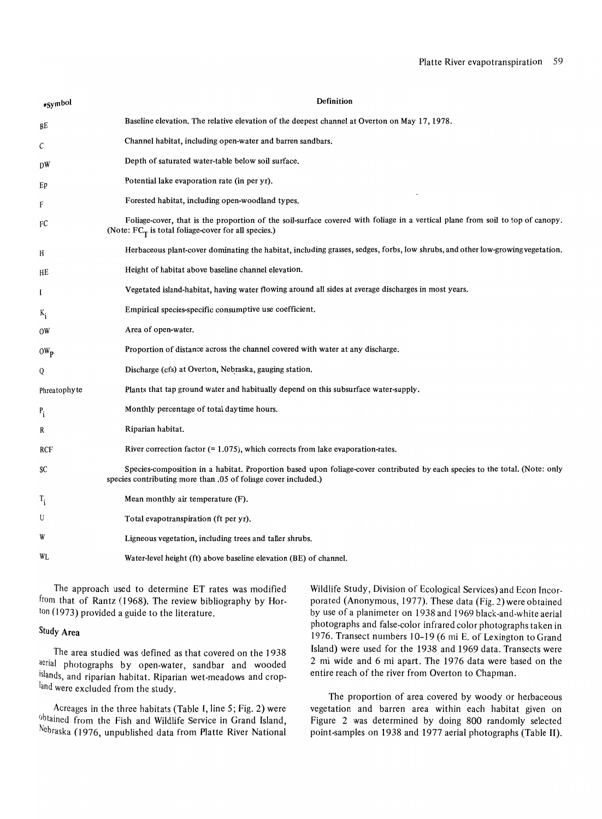| *Symbol           | Definition                                                                                                                                                                                    |
|-------------------|-----------------------------------------------------------------------------------------------------------------------------------------------------------------------------------------------|
| вE                | Baseline elevation. The relative elevation of the deepest channel at Overton on May 17, 1978.                                                                                                 |
| C                 | Channel habitat, including open-water and barren sandbars.                                                                                                                                    |
| DW                | Depth of saturated water-table below soil surface.                                                                                                                                            |
| Ep                | Potential lake evaporation rate (in per yr).                                                                                                                                                  |
| F                 | Forested habitat, including open-woodland types.                                                                                                                                              |
| FC                | Foliage-cover, that is the proportion of the soil-surface covered with foliage in a vertical plane from soil to top of canopy.<br>(Note: $FC_T$ is total foliage-cover for all species.)      |
| H                 | Herbaceous plant-cover dominating the habitat, including grasses, sedges, forbs, low shrubs, and other low-growing vegetation.                                                                |
| HE                | Height of habitat above baseline channel elevation.                                                                                                                                           |
| I                 | Vegetated island-habitat, having water flowing around all sides at average discharges in most years.                                                                                          |
| $K_i$             | Empirical species-specific consumptive use coefficient.                                                                                                                                       |
| ΟW                | Area of open-water.                                                                                                                                                                           |
| $OW_{\mathbf{p}}$ | Proportion of distance across the channel covered with water at any discharge.                                                                                                                |
| Q                 | Discharge (cfs) at Overton, Nebraska, gauging station.                                                                                                                                        |
| Phreatophyte      | Plants that tap ground water and habitually depend on this subsurface water-supply.                                                                                                           |
| $P_i$             | Monthly percentage of total daytime hours.                                                                                                                                                    |
| R                 | Riparian habitat.                                                                                                                                                                             |
| RCF               | River correction factor $(= 1.075)$ , which corrects from lake evaporation-rates.                                                                                                             |
| SC                | Species-composition in a habitat. Proportion based upon foliage-cover contributed by each species to the total. (Note: only<br>species contributing more than .05 of foliage cover included.) |
| $T_i$             | Mean monthly air temperature $(F)$ .                                                                                                                                                          |
| U                 | Total evapotranspiration (ft per yr).                                                                                                                                                         |
| W                 | Ligneous vegetation, including trees and taller shrubs.                                                                                                                                       |
| WL                | Water-level height (ft) above baseline elevation (BE) of channel.                                                                                                                             |

The approach used to determine ET rates was modified from that of Rantz (1968). The review bibliography by Horton (1973) provided a guide to the literature.

# Study Area

The area studied was defined as that covered on the 1938 aerial photographs by open-water, sandbar and wooded islands, and riparian habitat. Riparian wet-meadows and cropland were excluded from the study.

Acreages in the three habitats (Table **I,** line 5; Fig. 2) were obtained from the Fish and Wildlife Service in Grand Island, Nebraska *(I976,* unpublished data from Platte River National Wildlife Study, Division of Ecological Services) and Econ Incorporated (Anonymous, 1977). These data (Fig. 2) were obtained by use of a planimeter on 1938 and 1969 black-and-white aerial photographs and false-color infrared color photographs taken in 1976. Transect numbers 10-19 (6 mi E. of Lexington to Grand Island) were used for the 1938 and 1969 data. Transects were 2 mi wide and 6 mi apart. The 1976 data were based on the entire reach of the river from Overton to Chapman.

The proportion of area covered by woody or herbaceous vegetation and barren area within each habitat given on Figure 2 was determined by doing 800 randomly selected point-samples on 1938 and 1977 aerial photographs (Table II).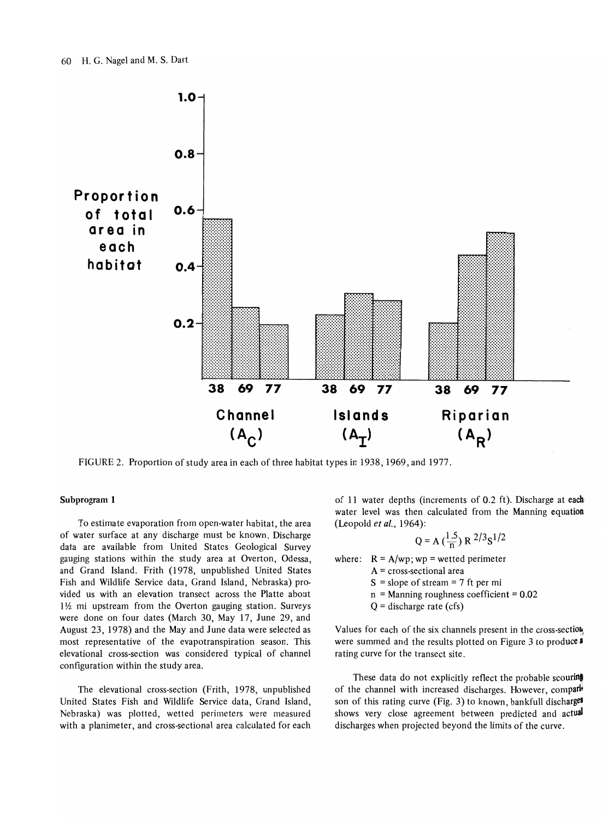

FIGURE 2. Proportion of study area in each of three habitat types in 1938, 1969, and 1977.

### Subprogram 1

To estimate evaporation from open-water habitat, the area of water surface at any discharge must be known. Discharge data are available from United States Geological Survey gauging stations within the study area at Overton, Odessa, and Grand Island. Frith (1978, unpublished United States Fish and Wildlife Service data, Grand Island, Nebraska) provided us with an elevation transect across the Platte about  $1\frac{1}{2}$  mi upstream from the Overton gauging station. Surveys were done on four dates (March 30, May 17, June 29, and August 23, 1978) and the May and June data were selected as most representative of the evapotranspiration season. This elevational cross-section was considered typical of channel configuration within the study area.

The elevational cross-section (Frith, 1978, unpublished United States Fish and Wildlife Service data, Grand Island, Nebraska) was plotted, wetted perimeters were measured with a planimeter, and cross-sectional area calculated for each of 11 water depths (increments of 0.2 ft). Discharge at each water level was then calculated from the Manning equation (Leopold *et* at., 1964):

$$
Q = A\left(\frac{1.5}{n}\right) R^{2/3} S^{1/2}
$$

where:  $R = A/wp$ ; wp = wetted perimeter

- $A = cross-sectional area$
- $S = slope of stream = 7 ft per mi$
- $n =$  Manning roughness coefficient =  $0.02$
- $Q =$  discharge rate (cfs)

Values for each of the six channels present in the cross-section were summed and the results plotted on Figure 3 to produce a rating curve for the transect site.

These data do not explicitly reflect the probable scouring of the channel with increased discharges. However, comparison of this rating curve (Fig. 3) to known, bankfull discharges shows very close agreement between predicted and actual discharges when projected beyond the limits of the curve.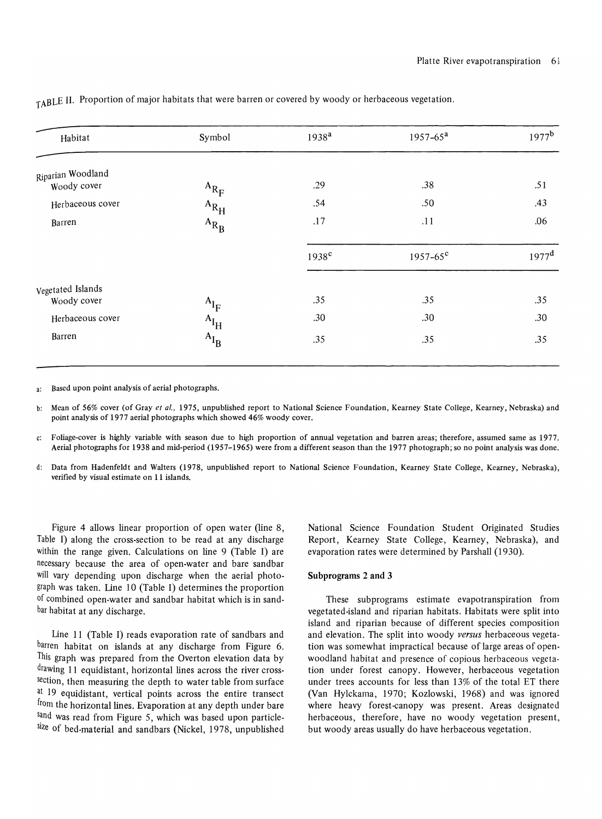| Habitat           | Symbol    | 1938 <sup>a</sup> | $1957 - 65^a$       | $1977^{\rm b}$    |
|-------------------|-----------|-------------------|---------------------|-------------------|
| Riparian Woodland |           |                   |                     |                   |
| Woody cover       | $A_{R_F}$ | .29               | .38                 | .51               |
| Herbaceous cover  | $A_{R_H}$ | .54               | .50                 | .43               |
| Barren            | $A_{R_B}$ | .17               | .11                 | .06               |
|                   |           | $1938$ c          | $1957 - 65^{\circ}$ | 1977 <sup>d</sup> |
| Vegetated Islands |           |                   |                     |                   |
| Woody cover       | $A_{I_F}$ | .35               | .35                 | .35               |
| Herbaceous cover  | $A_{I_H}$ | .30               | .30                 | .30               |
| Barren            | $A_{I_B}$ | .35               | .35                 | .35               |

TABLE II. Proportion of major habitats that were barren or covered by woody or herbaceous vegetation.

a: Based upon point analysis of aerial photographs.

- b: Mean of 56% cover (of Gray *et al.,* 1975, unpublished report to National Science Foundation, Kearney State College, Kearney, Nebraska) and point analysis of 1977 aerial photographs which showed 46% woody cover.
- c: Foliage-cover is highly variable with season due to high proportion of annual vegetation and barren areas; therefore, assumed same as 1977. Aerial photographs for 1938 and mid-period (1957-1965) were from a different season than the 1977 photograph; so no point analysis was done.
- d: Data from Hadenfeldt and Walters (1978, unpublished report to National Science Foundation, Kearney State College, Kearney, Nebraska), verified by visual estimate on 11 islands.

Figure 4 allows linear proportion of open water (line 8, Table I) along the cross-section to be read at any discharge within the range given. Calculations on line 9 (Table I) are necessary because the area of open-water and bare sandbar will vary depending upon discharge when the aerial photograph was taken. line 10 (Table I) determines the proportion of combined open-water and sandbar habitat which is in sandbar habitat at any discharge.

line 11 (Table I) reads evaporation rate of sandbars and barren habitat on islands at any discharge from Figure 6. This graph was prepared from the Overton elevation data by drawing 11 equidistant, horizontal lines across the river crosssection, then measuring the depth to water table from surface at 19 equidistant, vertical points across the entire transect from the horizontal lines. Evaporation at any depth under bare sand was read from Figure 5, which was based upon particlesize of bed-material and sandbars (Nickel, 1978, unpublished National Science Foundation Student Originated Studies Report, Kearney State College, Kearney, Nebraska), and evaporation rates were determined by Parshall (1930).

#### Subprograms 2 and 3

These subprograms estimate evapotranspiration from vegetated-island and riparian habitats. Habitats were split into island and riparian because of different species composition and elevation. The split into woody *versus* herbaceous vegetation was somewhat impractical because of large areas of openwoodland habitat and presence of copious herbaceous vegetation under forest canopy. However, herbaceous vegetation under trees accounts for less than 13% of the total ET there (Van Hylckama, 1970; Kozlowski, 1968) and was ignored where heavy forest-canopy was present. Areas designated herbaceous, therefore, have no woody vegetation present, but woody areas usually do have herbaceous vegetation.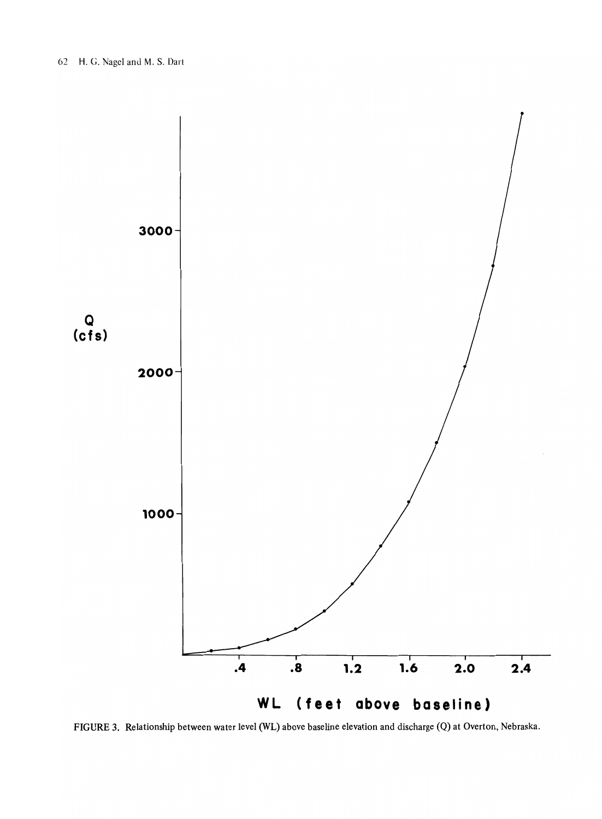

FIGURE 3. Relationship between water level (WL) above baseline elevation and discharge (Q) at Overton, Nebraska.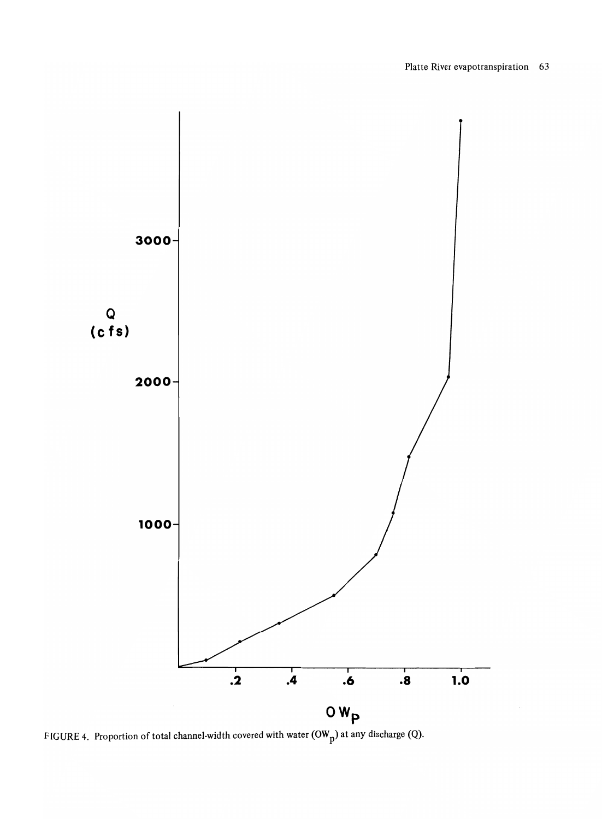

FIGURE 4. Proportion of total channel-width covered with water  $(OW_p)$  at any discharge (Q).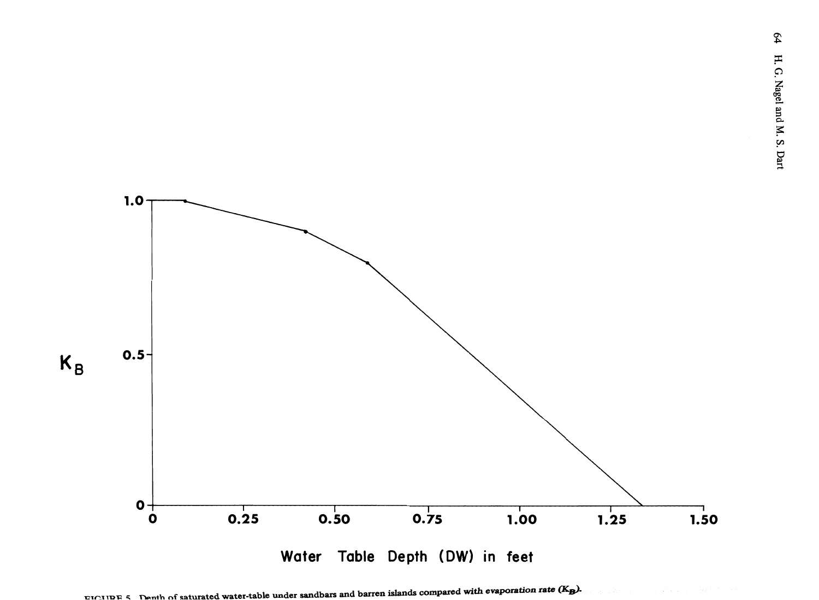

FIGURE 5. Depth of saturated water-table under sandbars and barren islands compared with evaporation rate (K<sub>p</sub>).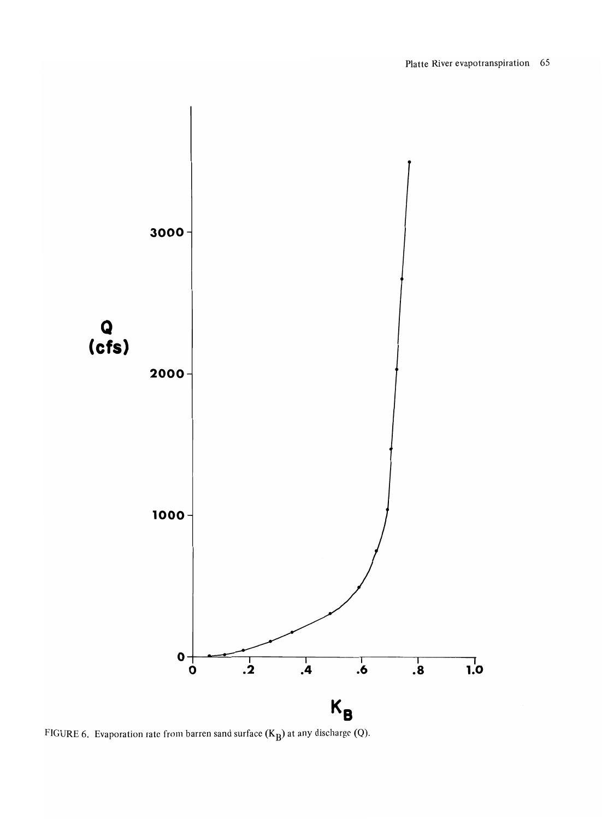

FIGURE 6. Evaporation rate from barren sand surface  $(K_B)$  at any discharge (Q).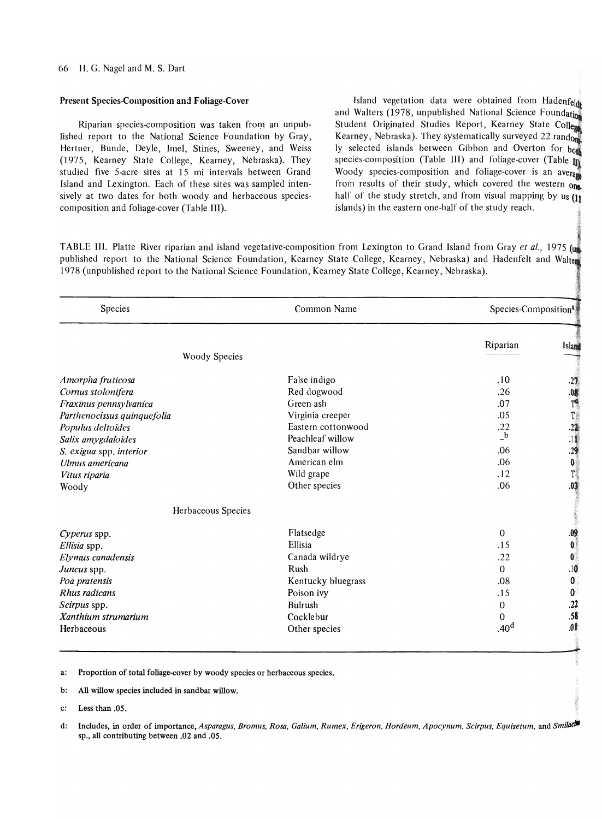### Present Species-Composition and Foliage-Cover

Riparian species-composition was taken from an unpublished report to the National Science Foundation by Gray, Hertner, Bunde, Deyle, Imel, Stines, Sweeney, and Weiss (1975, Kearney State College, Kearney, Nebraska). They studied five 5-acre sites at 15 mi intervals between Grand Island and Lexington. Each of these sites was sampled intensively at two dates for both woody and herbaceous speciescomposition and foliage-cover (Table Ill).

Island vegetation data were obtained from Hadenfeld and Walters (1978, unpublished National Science Foundation Student Originated Studies Report, Kearney State College Kearney, Nebraska). They systematically surveyed 22 random ly selected islands between Gibbon and Overton for both species-composition (Table III) and foliage-cover (Table  $\mathbb{I}$ Woody species-composition and foliage-cover is an average from results of their study, which covered the western one. half of the study stretch, and from visual mapping by us  $(j)$ islands) in the eastern one-half of the study reach.

,J;"

TABLE III. Platte River riparian and island vegetative-composition from Lexington to Grand Island from Gray *et al.*, 1975 (un published report to the National Science Foundation, Kearney State College, Kearney, Nebraska) and Hadenfelt and Walter 1978 (unpublished report to the National Science Foundation, Kearney State College, Kearney, Nebraska).

| Species                     | Common Name        | Species-Composition <sup>a</sup> |                                         |  |
|-----------------------------|--------------------|----------------------------------|-----------------------------------------|--|
|                             |                    | Riparian                         | Island                                  |  |
| <b>Woody Species</b>        |                    |                                  |                                         |  |
| Amorpha fruticosa           | False indigo       | .10                              | .27                                     |  |
| Cornus stolonifera          | Red dogwood        | .26                              |                                         |  |
| Fraxinus pennsylvanica      | Green ash          | .07                              | $-08$<br>T <sup>e</sup><br>T<br>T<br>22 |  |
| Parthenocissus quinquefolia | Virginia creeper   | .05                              |                                         |  |
| Populus deltoides           | Eastern cottonwood | .22                              |                                         |  |
| Salix amygdaloides          | Peachleaf willow   | $\mathbf{b}$                     | $11$                                    |  |
| S. exigua spp. interior     | Sandbar willow     | .06                              | .29                                     |  |
| Ulmus americana             | American elm       | .06                              | $\boldsymbol{0}$                        |  |
| Vitus riparia               | Wild grape         | .12                              | $T_{\rm s}$                             |  |
| Woody                       | Other species      | .06                              | .03                                     |  |
| Herbaceous Species          |                    |                                  |                                         |  |
| Cyperus spp.                | Flatsedge          | $\Omega$                         | .09                                     |  |
| Ellisia spp.                | Ellisia            | .15                              | $\mathbf{0}^{\dagger}$                  |  |
| Elymus canadensis           | Canada wildrye     | .22                              | $\mathbf{0}$                            |  |
| Juncus spp.                 | Rush               | $\Omega$                         | .10                                     |  |
| Poa pratensis               | Kentucky bluegrass | .08                              | 0                                       |  |
| Rhus radicans               | Poison ivy         | .15                              | 0                                       |  |
| Scirpus spp.                | Bulrush            | $\mathbf{0}$                     | .22                                     |  |
| Xanthium strumarium         | Cocklebur          | 0                                | .58                                     |  |
| Herbaceous                  | Other species      | .40 <sup>d</sup>                 | .01                                     |  |

a: Proportion of total foliage-cover by woody species or herbaceous species.

b: All willow species included in sandbar willow.

c: Less than .05.

d: Includes, in order of importance, Asparagus, Bromus, Rosa, Galium, Rumex, Erigeron, Hordeum, Apocynum, Scirpus, Equisetum, and Smilaclin sp., all contributing between .02 and .05.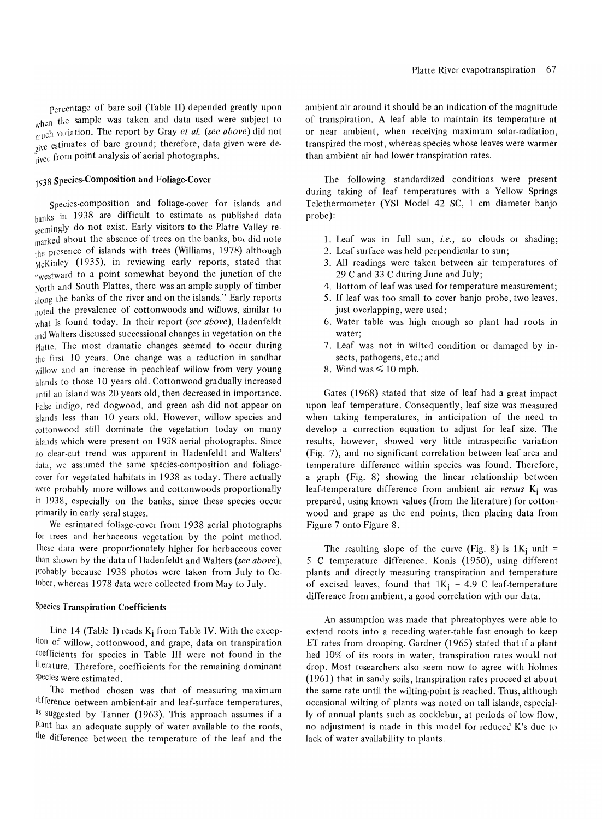Percentage of bare soil (Table II) depended greatly upon hen the sample was taken and data used were subject to  $\mu$ <sub>l</sub>uch variation. The report by Gray *et al.* (see above) did not give estimates of bare ground; therefore, data given were de- $^{34}$ <sub>rived</sub> from point analysis of aerial photographs.

# 1938 Species-Composition and Foliage-Cover

Species-composition and foliage-cover for islands and banks in 1938 are difficult to estimate as published data seemingly do not exist. Early visitors to the Platte Valley remarked about the absence of trees on the banks, but did note the presence of islands with trees (Williams, 1978) although McKinley (1935), in reviewing early reports, stated that :'westward to a point somewhat beyond the junction of the North and South Plattes, there was an ample supply of timber along the banks of the river and on the islands." Early reports noted the prevalence of cottonwoods and willows, similar to what is found today. In their report *(see above),* Hadenfeldt and Walters discussed successional changes in vegetation on the Platte. Thc most dramatic changes seemed to occur during the first 10 years. One change was a reduction in sandbar willow and an increase in peachleaf willow from very young islands to those 10 years old. Cottonwood gradually increased until an island was 20 years old, then decreased in importance. False indigo, red dogwood, and green ash did not appear on islands less than 10 years old. However, willow species and cottonwood still dominate the vegetation today on many islands which were present on 1938 aerial photographs. Since no clear-cut trend was apparent in Hadenfeldt and Walters' data, we assumed the same species-composition and foliagecover for vegetated habitats in 1938 as today. There actually were probably more willows and cottonwoods proportionally in 1938, especially on the banks, since these species occur primarily in early seral stages.

We estimated foliage-cover from 1938 aerial photographs for trees and herbaceous vegetation by the point method. These data were proportionately higher for herbaceous cover than shown by the data of Hadenfeldt and Walters *(see above),*  probably because 1938 photos were taken from July to October, whereas 1978 data were collected from May to July.

#### Species Transpiration Coefficients

Line 14 (Table I) reads  $K_i$  from Table IV. With the exception of willow, cottonwood, and grape, data on transpiration coefficients for species in Table III were not found in the literature. Therefore, coefficients for the remaining dominant species were estimated.

The method chosen was that of measuring maximum difference between ambient-air and leaf-surface temperatures, as suggested by Tanner (1963). This approach assumes if a plant has an adequate supply of water available to the roots, the difference between the temperature of the leaf and the

ambient air around it should be an indication of the magnitude of transpiration. A leaf able to maintain its temperature at or near ambient, when receiving maximum solar-radiation, transpired the most, whereas species whose leaves were warmer than ambient air had lower transpiration rates.

The following standardized conditions were present during taking of leaf temperatures with a Yellow Springs Telethermometer (YSI Model 42 SC, 1 cm diameter banjo probe):

- 1. Leaf was in full sun, *i.e.,* no clouds or shading;
- 2. Leaf surface was held perpendicular to sun;
- 3. All readings were taken between air temperatures of 29 C and 33 C during June and July;
- 4. Bottom of leaf was used for temperature measurement;
- 5. If leaf was too small to cover banjo probe, two leaves, just overlapping, were used;
- 6. Water table was high enough so plant had roots in water;
- 7. Leaf was not in wilted condition or damaged by insects, pathogens, etc.; and
- 8. Wind was  $\leq 10$  mph.

Gates (1968) stated that size of leaf had a great impact upon leaf temperature. Consequently, leaf size was measured when taking temperatures, in anticipation of the need to develop a correction equation to adjust for leaf size. The results, however, showed very little intraspecific variation (Fig. 7), and no significant correlation between leaf area and temperature difference within species was found. Therefore., a graph (Fig. 8) showing the linear relationship between leaf-temperature difference from ambient air *versus* Ki was prepared, using known values (from the literature) for cottonwood and grape as the end points, then placing data from Figure 7 onto Figure 8.

The resulting slope of the curve (Fig. 8) is  $1K_i$  unit = 5 C temperature difference. Konis (1950), using different plants and directly measuring transpiration and temperature of excised leaves, found that  $1K_i = 4.9$  C leaf-temperature difference from ambient, a good correlation with our data.

An assumption was made that phreatophyes were able to extend roots into a receding water-table fast enough to keep ET rates from drooping. Gardner (1965) stated that if a plant had 10% of its roots in water, transpiration rates would not drop. Most researchers also seem now to agree with Holmes (1961) that in sandy soils, transpiration rates proceed at about the same rate until the wilting-point is reached. Thus, although occasional wilting of plants was noted on tall islands, especially of annual plants such as cocklebur, at periods of low flow, no adjustment is made in this model for reduced K's due to lack of water availability to plants.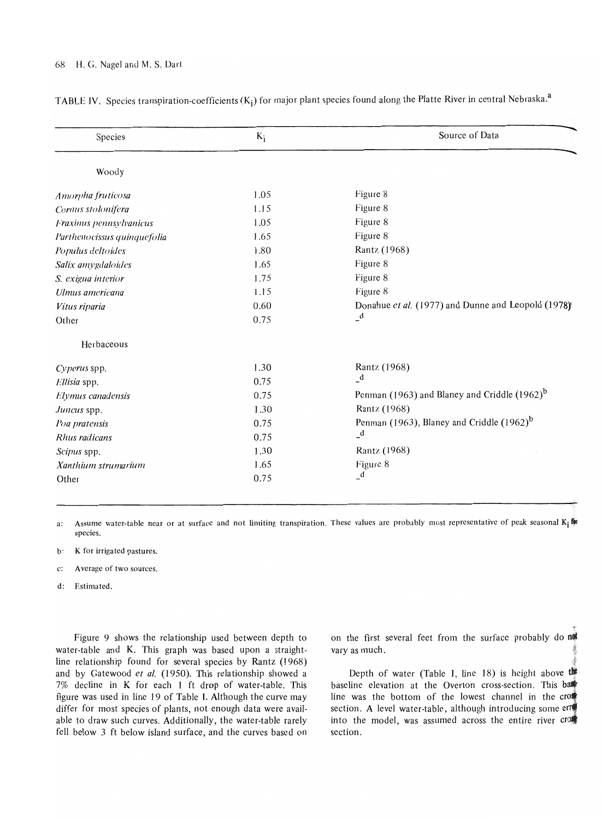# 68 H. G. Nagel and M. S. Dart

| Species                     | $K_i$ | Source of Data                                           |
|-----------------------------|-------|----------------------------------------------------------|
| Woody                       |       |                                                          |
| Amorpha fruticosa           | 1.05  | Figure 8                                                 |
| Cornus stolonifera          | 1.15  | Figure 8                                                 |
| Fraxinus pennsylvanicus     | 1.05  | Figure 8                                                 |
| Parthenocissus quinquefolia | 1.65  | Figure 8                                                 |
| Populus deltoides           | 1.80  | Rantz (1968)                                             |
| Salix amygdaloides          | 1.65  | Figure 8                                                 |
| S. exigua interior          | 1.75  | Figure 8                                                 |
| Ulmus americana             | 1.15  | Figure 8                                                 |
| Vitus riparia               | 0.60  | Donahue et al. (1977) and Dunne and Leopold (1978)       |
| Other                       | 0.75  | $\mathbf{d}$                                             |
| Herbaceous                  |       |                                                          |
| Cyperus spp.                | 1.30  | Rantz (1968)                                             |
| Ellisia spp.                | 0.75  | $\mathbf{d}$                                             |
| Elymus canadensis           | 0.75  | Penman (1963) and Blaney and Criddle (1962) <sup>b</sup> |
| Juncus spp.                 | 1.30  | Rantz (1968)                                             |
| Poa pratensis               | 0.75  | Penman (1963), Blaney and Criddle (1962) <sup>b</sup>    |
| Rhus radicans               | 0.75  | $\mathbf{d}$                                             |
| Scipus spp.                 | 1.30  | Rantz (1968)                                             |
| Xanthium strumarium         | 1.65  | Figure 8                                                 |
| Other                       | 0.75  | $\mathbf{d}$                                             |

TABLE IV. Species transpiration-coefficients  $(K_i)$  for major plant species found along the Platte River in central Nebraska.<sup>a</sup>

a: Assume water-table near or at surface and not limiting transpiration. These values are probably most representative of peak seasonal  $K_i$  for species.

- b: K for irrigated pastures.
- c: A verage of two sources.
- d: Estimated.

Figure 9 shows the relationship used between depth to water-table and K. This graph was based upon a straightline relationship found for several species by Rantz (1968) and by Gatewood et al. (1950). This relationship showed a 7% decline in K for each 1 ft drop of water-table. This figure was used in line 19 of Table I. Although the curve may differ for most species of plants, not enough data were available to draw such curves. Additionally, the water-table rarely fell below 3 ft below island surface, and the curves based on

on the first several feet from the surface probably do not vary as much.

Depth of water (Table I, line 18) is height above the baseline elevation at the Overton cross-section. This base line was the bottom of the lowest channel in the  $cr$ section. A level water-table, although introducing some error into the model, was assumed across the entire river  $cr$ section.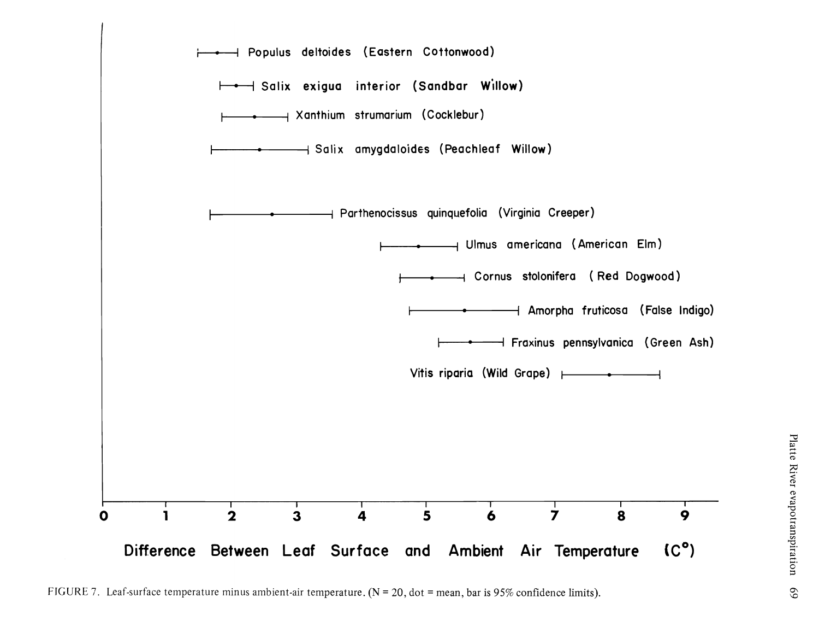

FIGURE 7. Leaf-surface temperature minus ambient-air temperature. ( $N = 20$ , dot = mean, bar is 95% confidence limits).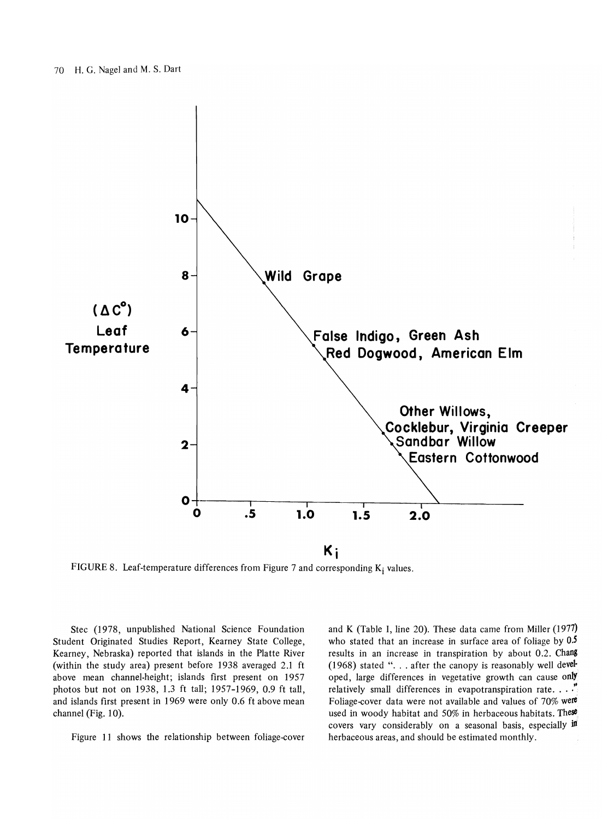

FIGURE 8. Leaf-temperature differences from Figure 7 and corresponding  $K_i$  values.

Stec (1978, unpublished National Science Foundation Student Originated Studies Report, Kearney State College, Kearney, Nebraska) reported that islands in the Platte River (within the study area) present before 1938 averaged 2.1 ft above mean channel-height; islands first present on 1957 photos but not on 1938, 1.3 ft tall; 1957-1969, 0.9 ft tall, and islands first present in 1969 were only 0.6 ft above mean channel (Fig. 10).

Figure 11 shows the relationship between foliage-cover

and K (Table I, line 20). These data came from Miller (1977) who stated that an increase in surface area of foliage by 0.5 results in an increase in transpiration by about 0.2. Chang (1968) stated " $\ldots$  after the canopy is reasonably well developed, large differences in vegetative growth can cause only relatively small differences in evapotranspiration rate.  $\ldots$ . Foliage-cover data were not available and values of 70% were used in woody habitat and 50% in herbaceous habitats. These covers vary considerably on a seasonal basis, especially in herbaceous areas, and should be estimated monthly.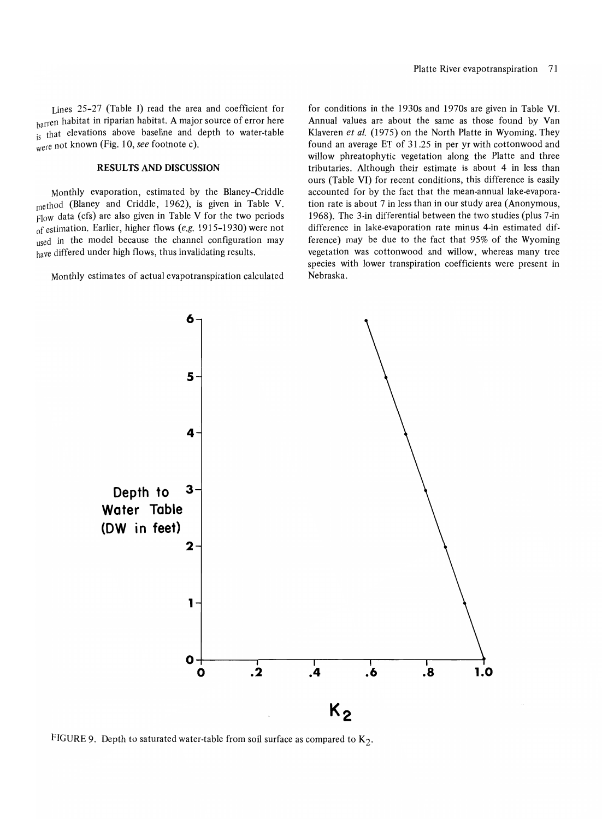Lines 25-27 (Table J) read the area and coefficient for harren habitat in riparian habitat. A major source of error here is that elevations above baseline and depth to water-table were not known (Fig. 10, *see* footnote c).

# RESULTS AND DISCUSSION

Monthly evaporation, estimated by the Blaney-Criddle method (Blaney and Criddle, 1962), is given in Table V. Flow data (cfs) are also given in Table V for the two periods of estimation. Earlier, higher flows *(e.g.* 1915-1930) were not used in the model because the channel configuration may have differed under high flows, thus invalidating results.

Monthly estimates of actual evapotranspiration calculated

for conditions in the 1930s and 1970s are given in Table VI. Annual values are about the same as those found by Van Klaveren *et al.* (1975) on the North Platte in Wyoming. They found an average ET of 31.25 in per yr with cottonwood and willow phreatophytic vegetation along the Platte and three tributaries. Although their estimate is about 4 in less than ours (Table VI) for recent conditions, this difference is easily accounted for by the fact that the mean-annual lake-evaporation rate is about 7 in less than in our study area (Anonymous, 1968). The 3-in differential between the two studies (plus 7 -in difference in lake-evaporation rate minus 4-in estimated difference) may be due to the fact that 95% of the Wyoming vegetation was cottonwood and willow, whereas many tree species with lower transpiration coefficients were present in Nebraska.



FIGURE 9. Depth to saturated water-table from soil surface as compared to  $K_2$ .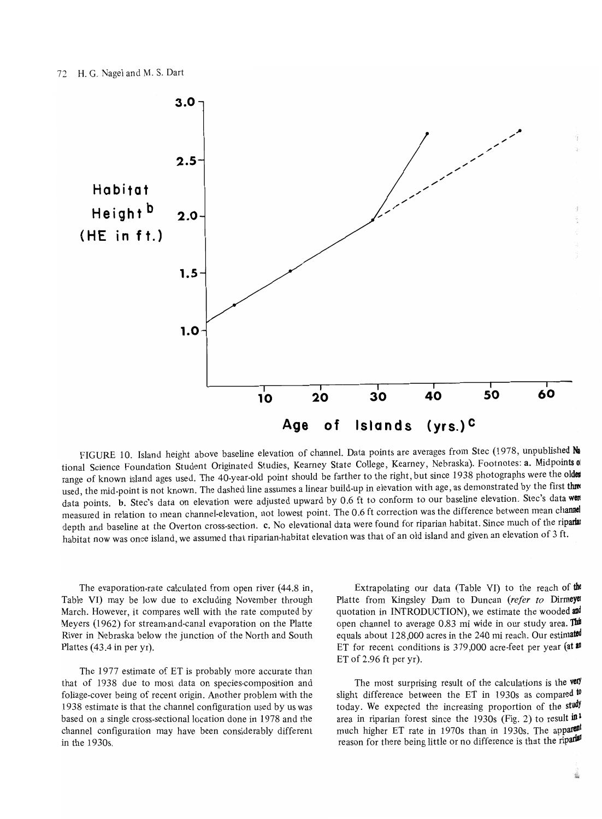

FIGURE 10. Island height above baseline elevation of channel. Data points are averages from Stec (1978, unpublished Na tional Science Foundation Student Originated Studies, Kearney State College, Kearney, Nebraska). Footnotes: a. Midpoints o range of known island ages used. The 40-year-old point should be farther to the right, but since 1938 photographs were the older used, the mid-point is not known. The dashed line assumes a linear build-up in elevation with age, as demonstrated by the first three data points. b. Stec's data on elevation were adjusted upward by 0.6 ft to conform to our baseline elevation. Stec's data were measured in relation to mean channel-elevation, not lowest point. The 0.6 ft correction was the difference between mean channel depth and baseline at the Overton cross-section. c. No elevational data were found for riparian habitat. Since much of the riparlar habitat now was once island, we assumed that riparian-habitat elevation was that of an old island and given an elevation of 3 ft.

The evaporation-rate calculated from open river (44.8 in, Table VI) may be low due to excluding November through March. However, it compares well with the rate computed by Meyers (1962) for stream-and-canal evaporation on the Platte River in Nebraska below the junction of the North and South Plattes (43.4 in per yr).

The 1977 estimate of ET is probably more accurate than that of 1938 due to most data on species-composition and foliage-cover being of recent origin. Another problem with the 1938 estimate is that the channel configuration used by us was based on a single cross-sectional location done in 1978 and the channel configuration may have been considerably different in the 1930s.

Extrapolating our data (Table VI) to the reach of the Platte from Kingsley Dam to Duncan (refer to Dirmeye quotation in INTRODUCTION), we estimate the wooded and open channel to average 0.83 mi wide in our study area. This equals about 128,000 acres in the 240 mi reach. Our estimated ET for recent conditions is 379,000 acre-feet per year (at  $\mathbf{1}$ ET of 2.96 ft per yr).

The most surprising result of the calculations is the very slight difference between the ET in 1930s as compared  $\psi$ today. We expected the increasing proportion of the study area in riparian forest since the 1930s (Fig. 2) to result  $\mathbf{m}^2$ much higher ET rate in 1970s than in 1930s. The apparent reason for there being little or no difference is that the riparlel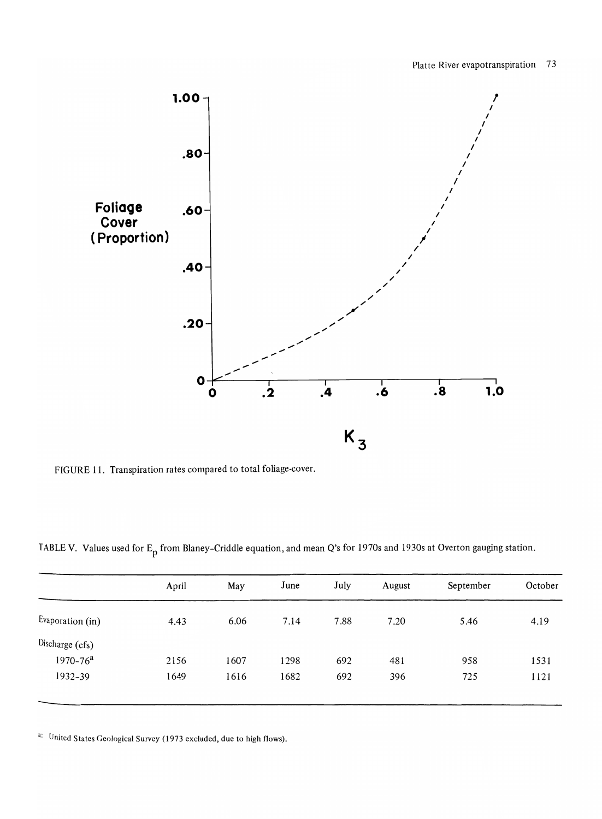

FIGURE 11. Transpiration rates compared to total foliage-cover.

TABLE V. Values used for E<sub>p</sub> from Blaney-Criddle equation, and mean Q's for 1970s and 1930s at Overton gauging station.

|                  | April | May  | June | July | August | September | October |
|------------------|-------|------|------|------|--------|-----------|---------|
| Evaporation (in) | 4.43  | 6.06 | 7.14 | 7.88 | 7.20   | 5.46      | 4.19    |
| Discharge (cfs)  |       |      |      |      |        |           |         |
| $1970 - 76a$     | 2156  | 1607 | 1298 | 692  | 481    | 958       | 1531    |
| 1932-39          | 1649  | 1616 | 1682 | 692  | 396    | 725       | 1121    |
|                  |       |      |      |      |        |           |         |

<sup>a:</sup> United States Geological Survey (1973 excluded, due to high flows).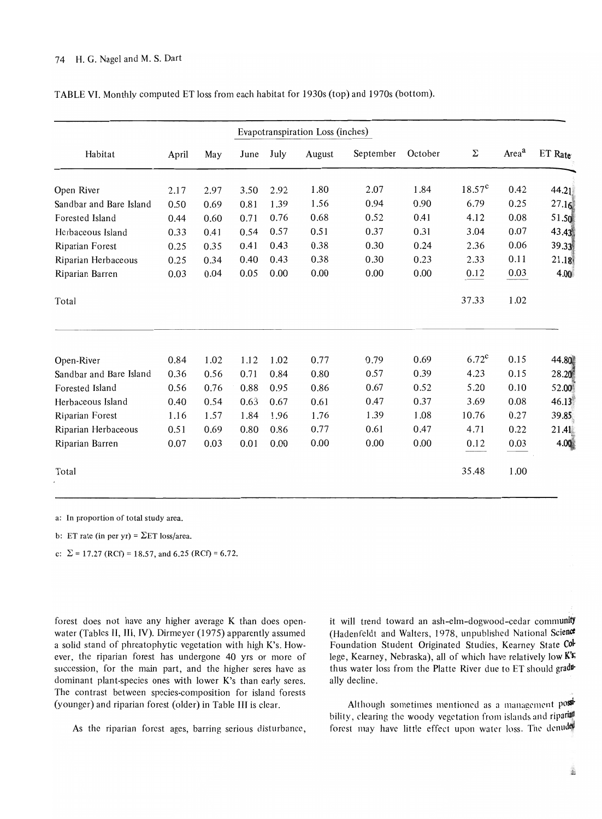|                         |       |      | Evapotranspiration Loss (inches) |      |        |           |              |                    |                   |                   |
|-------------------------|-------|------|----------------------------------|------|--------|-----------|--------------|--------------------|-------------------|-------------------|
| Habitat                 | April | May  | June                             | July | August | September | October      | Σ                  | Area <sup>a</sup> | ET Rate           |
| Open River              | 2.17  | 2.97 | 3.50                             | 2.92 | 1.80   | 2.07      | 1.84         | 18.57 <sup>c</sup> | 0.42              | 44.21             |
| Sandbar and Bare Island | 0.50  | 0.69 | 0.81                             | 1.39 | 1.56   | 0.94      | 0.90         | 6.79               | 0.25              | 27.16             |
| Forested Island         | 0.44  | 0.60 | 0.71                             | 0.76 | 0.68   | 0.52      | 0.41         | 4.12               | 0.08              | 51.5              |
| Herbaceous Island       | 0.33  | 0.41 | 0.54                             | 0.57 | 0.51   | 0.37      | 0.31         | 3.04               | 0.07              | 43.43             |
| Riparian Forest         | 0.25  | 0.35 | 0.41                             | 0.43 | 0.38   | 0.30      | 0.24         | 2.36               | 0.06              | 39.33             |
| Riparian Herbaceous     | 0.25  | 0.34 | 0.40                             | 0.43 | 0.38   | 0.30      | 0.23         | 2.33               | 0.11              | 21.18             |
| Riparian Barren         | 0.03  | 0.04 | 0.05                             | 0.00 | 0.00   | 0.00      | 0.00         | 0.12               | 0.03              | 4.0 <sub>0</sub>  |
| Total                   |       |      |                                  |      |        |           |              | 37.33              | 1.02              |                   |
|                         |       |      |                                  |      |        |           |              | $6.72^{\text{c}}$  | 0.15              |                   |
| Open-River              | 0.84  | 1.02 | 1.12                             | 1.02 | 0.77   | 0.79      | 0.69<br>0.39 |                    | 0.15              | 44.81             |
| Sandbar and Bare Island | 0.36  | 0.56 | 0.71                             | 0.84 | 0.80   | 0.57      |              | 4.23               |                   | 28.20             |
| Forested Island         | 0.56  | 0.76 | 0.88                             | 0.95 | 0.86   | 0.67      | 0.52         | 5.20               | 0.10              | 52.0 <sub>0</sub> |
| Herbaceous Island       | 0.40  | 0.54 | 0.63                             | 0.67 | 0.61   | 0.47      | 0.37         | 3.69               | 0.08              | 46.13             |
| Riparian Forest         | 1.16  | 1.57 | 1.84                             | 1.96 | 1.76   | 1.39      | 1.08         | 10.76              | 0.27              | 39.85             |
| Riparian Herbaceous     | 0.51  | 0.69 | 0.80                             | 0.86 | 0.77   | 0.61      | 0.47         | 4.71               | 0.22              | 21.41             |
| Riparian Barren         | 0.07  | 0.03 | 0.01                             | 0.00 | 0.00   | 0.00      | 0.00         | 0.12               | 0.03              | 4.00              |
| Total                   |       |      |                                  |      |        |           |              | 35.48              | 1.00              |                   |

TABLE VI. Monthly computed ET loss from each habitat for 1930s (top) and 1970s (bottom).

a: In proportion of total study area.

b: ET rate (in per yr) =  $\Sigma$ ET loss/area.

c:  $\Sigma = 17.27$  (RCf) = 18.57, and 6.25 (RCf) = 6.72.

forest docs not have any higher average K than does openwater (Tables II, III, IV). Dirmeyer (1975) apparently assumed a solid stand of phreatophytic vegetation with high K's. However, the riparian forest has undergone 40 yrs or more of succession, for the main part, and the higher seres have as dominant plant-species ones with lower K's than early seres. The contrast between species-composition for island forests (younger) and riparian forest (older) in Table III is clear.

As the riparian forest ages, barring serious disturbance,

it will trend toward an ash-elm-dogwood-cedar community (Hadenfeldt and Walters, 1978, unpublished National Science Foundation Student Originated Studies, Kearney State College, Kearney, Nebraska), all of which have relatively low K's: thus water loss from the Platte River due to ET should gradually decline.

Although sometimes mentioned as a management post bility, clearing the woody vegetation from islands and riparal forest may have little effect upon water loss. The denuce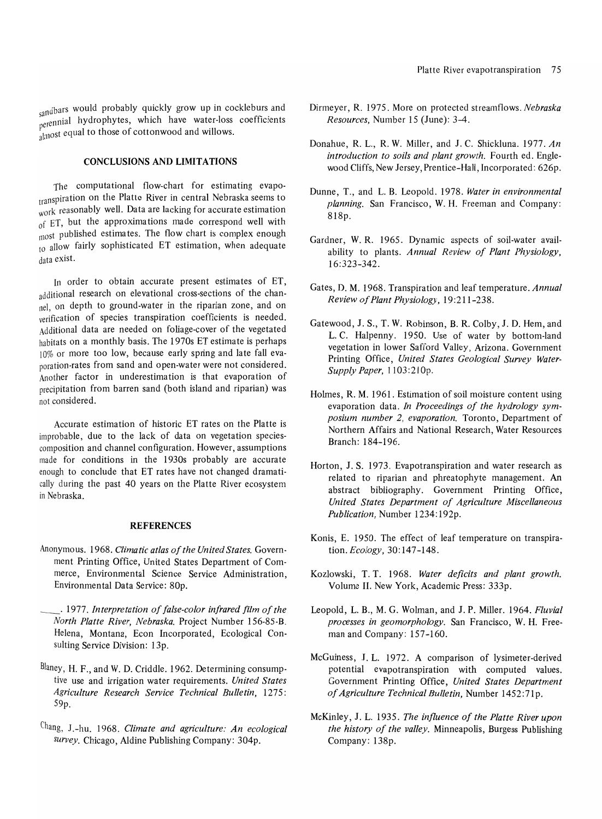sandbars would probably quickly grow up in cockleburs and perennial hydrophytes, which have water-loss coefficients almost equal to those of cottonwood and willows.

# **CONCLUSIONS AND LIMITATIONS**

The computational flow-chart for estimating evapotranspiration on the Platte River in central Nebraska seems to work reasonably well. Data are lacking for accurate estimation of ET, but the approximations made correspond well with most published estima tes. The flow chart is complex enough to allow fairly sophisticated ET estimation, when adequate data exist.

In order to obtain accurate present estimates of ET, additional research on elevational cross-sections of the channel, on depth to ground-water in the riparian zone, and on verification of species transpiration coefficients is needed. Additional data are needed on foliage-cover of the vegetated habitats on a monthly basis. The 1970s ET estimate is perhaps 10% or more too low, because early spring and late fall evaporation-rates from sand and open-water were not considered. Another factor in underestimation is that evaporation of precipitation from barren sand (both island and riparian) was not considered.

Accurate estimation of historic ET rates on the Platte is improbable, due to the lack of data on vegetation speciescomposition and channel configuration. However, assumptions made for conditions in the 1930s probably are accurate enough to conclude that ET rates have not changed dramatically during the past 40 years on the Platte River ecosystem in Nebraska.

#### **REFERENCES**

- Anonymous. 1965. *Climatic atlas of the United States.* Government Printing Office, United States Department of Commerce, Environmental Science Service Administration, Environmental Data Service: SOp.
- \_. 1977. *Interpretation of false-color infrared film of the North Platte River, Nebraska.* Project Number 156-S5-B. Helena, Montana, Econ Incorporated, Ecological Consulting Service Division: 13p.
- Blaney, H. F., and W. D. Criddle. 1962. Determining consumptive use and irrigation water requirements. *United States Agriculture Research Service Technical Bulletin, 1275:*  59p.
- Chang, J.-hu. 1965. *Climate and agriculture: An ecological survey.* Chicago, Aldine Publishing Company: 304p.
- Dirmeyer, R. 1975. More on protected streamflows. *Nebraska Resources,* Number 15 (June): 3-4.
- Donahue, R. L., R. W. Miller, and J. C. Shickluna. 1977. *An introduction to soils and plant growth.* Fourth ed. Englewood Cliffs, New Jersey, Prentice-Hall, Incorporated: 626p.
- Dunne, T., and L. B. Leopold. 1975. *Water in environmental planning.* San Francisco, W. H. Freeman and Company: 818p.
- Gardner, W. R. 1965. Dynamic aspects of soil-water availability to plants. *Annual Review of Plant Physiology,*  16:323-342.
- Gates, D. M. 1968. Transpiration and leaf temperature. *Annual Review of Plant Physiology,* 19 :211-23S.
- Gatewood, J. S., T. W. Robinson, B. R. Colby, J. D. Hem, and L. C. Halpenny. 1950. Use of water by bottom-land vegetation in lower Safford Valley, Arizona. Government Printing Office, *United States Geological Survey Water-Supply Paper,* 1103:210p.
- Holmes, R. M. 1961. Estimation of soil moisture content using evaporation data. *In Proceedings of the hydrology symposium number* 2, *evaporation.* Toronto, Department of Northern Affairs and National Research, Water Resources Branch: IS4-196.
- Horton, J. S. 1973. Evapotranspiration and water research as related to riparian and phreatophyte management. An abstract bibliography. Government Printing Office, *United States Department of Agriculture Miscellaneous Publication,* Number 1234: 192p.
- Konis, E. 1950. The effect of leaf temperature on transpiration. *Ecology,* 30: 147-14S.
- Kozlowski, T. T. 1968. *Water deficits and plant growth.*  Volume II. New York, Academic Press: 333p.
- Leopold, L. B., M. G. Wolman, and J. P. Miller. 1964. *Fluvial processes in geomorphology.* San Francisco, W. H. Freeman and Company: 157-160.
- McGuiness, J. L. 1972. A comparison of Iysimeter-derived potential evapotranspiration with computed values. Government Printing Office, *United States Department of Agriculture Technical Bulletin,* Number 1452:71p.
- McKinley, J. L. 1935. *The influence of the Platte River upon the history of the valley.* Minneapolis, Burgess Publishing Company: 13Sp.